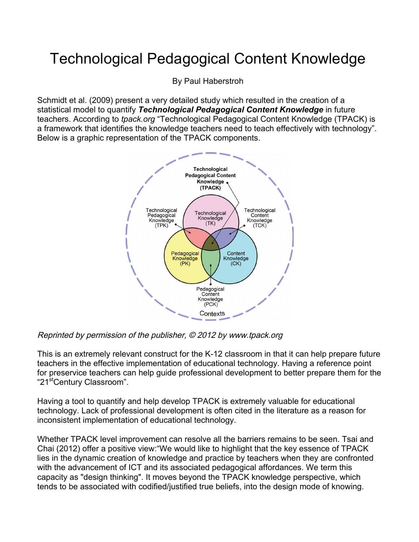## Technological Pedagogical Content Knowledge

By Paul Haberstroh

Schmidt et al. (2009) present a very detailed study which resulted in the creation of a statistical model to quantify *Technological Pedagogical Content Knowledge* in future teachers. According to *tpack.org* "Technological Pedagogical Content Knowledge (TPACK) is a framework that identifies the knowledge teachers need to teach effectively with technology". Below is a graphic representation of the TPACK components.



## Reprinted by permission of the publisher, © 2012 by www.tpack.org

This is an extremely relevant construct for the K-12 classroom in that it can help prepare future teachers in the effective implementation of educational technology. Having a reference point for preservice teachers can help guide professional development to better prepare them for the "21<sup>st</sup>Century Classroom".

Having a tool to quantify and help develop TPACK is extremely valuable for educational technology. Lack of professional development is often cited in the literature as a reason for inconsistent implementation of educational technology.

Whether TPACK level improvement can resolve all the barriers remains to be seen. Tsai and Chai (2012) offer a positive view:"We would like to highlight that the key essence of TPACK lies in the dynamic creation of knowledge and practice by teachers when they are confronted with the advancement of ICT and its associated pedagogical affordances. We term this capacity as "design thinking". It moves beyond the TPACK knowledge perspective, which tends to be associated with codified/justified true beliefs, into the design mode of knowing.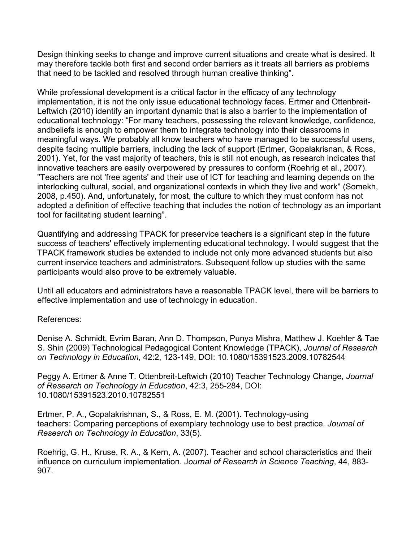Design thinking seeks to change and improve current situations and create what is desired. It may therefore tackle both first and second order barriers as it treats all barriers as problems that need to be tackled and resolved through human creative thinking".

While professional development is a critical factor in the efficacy of any technology implementation, it is not the only issue educational technology faces. Ertmer and Ottenbreit-Leftwich (2010) identify an important dynamic that is also a barrier to the implementation of educational technology: "For many teachers, possessing the relevant knowledge, confidence, andbeliefs is enough to empower them to integrate technology into their classrooms in meaningful ways. We probably all know teachers who have managed to be successful users, despite facing multiple barriers, including the lack of support (Ertmer, Gopalakrisnan, & Ross, 2001). Yet, for the vast majority of teachers, this is still not enough, as research indicates that innovative teachers are easily overpowered by pressures to conform (Roehrig et al., 2007). "Teachers are not 'free agents' and their use of ICT for teaching and learning depends on the interlocking cultural, social, and organizational contexts in which they live and work'' (Somekh, 2008, p.450). And, unfortunately, for most, the culture to which they must conform has not adopted a definition of effective teaching that includes the notion of technology as an important tool for facilitating student learning".

Quantifying and addressing TPACK for preservice teachers is a significant step in the future success of teachers' effectively implementing educational technology. I would suggest that the TPACK framework studies be extended to include not only more advanced students but also current inservice teachers and administrators. Subsequent follow up studies with the same participants would also prove to be extremely valuable.

Until all educators and administrators have a reasonable TPACK level, there will be barriers to effective implementation and use of technology in education.

## References:

Denise A. Schmidt, Evrim Baran, Ann D. Thompson, Punya Mishra, Matthew J. Koehler & Tae S. Shin (2009) Technological Pedagogical Content Knowledge (TPACK), *Journal of Research on Technology in Education*, 42:2, 123-149, DOI: 10.1080/15391523.2009.10782544

Peggy A. Ertmer & Anne T. Ottenbreit-Leftwich (2010) Teacher Technology Change*, Journal of Research on Technology in Education*, 42:3, 255-284, DOI: 10.1080/15391523.2010.10782551

Ertmer, P. A., Gopalakrishnan, S., & Ross, E. M. (2001). Technology-using teachers: Comparing perceptions of exemplary technology use to best practice. *Journal of Research on Technology in Education*, 33(5).

Roehrig, G. H., Kruse, R. A., & Kern, A. (2007). Teacher and school characteristics and their influence on curriculum implementation. J*ournal of Research in Science Teaching*, 44, 883- 907.